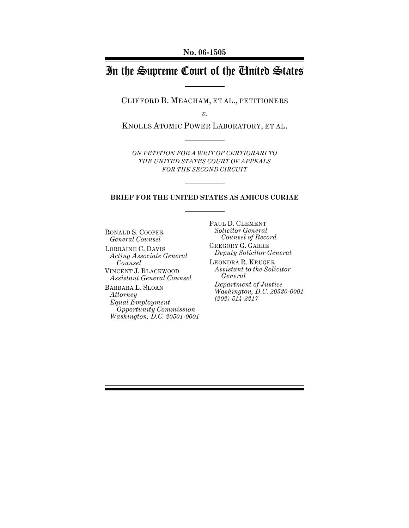**No. 06-1505**

# In the Supreme Court of the United States

CLIFFORD B. MEACHAM, ET AL., PETITIONERS

*v.*

KNOLLS ATOMIC POWER LABORATORY, ET AL.

*ON PETITION FOR A WRIT OF CERTIORARI TO THE UNITED STATES COURT OF APPEALS FOR THE SECOND CIRCUIT*

#### **BRIEF FOR THE UNITED STATES AS AMICUS CURIAE**

RONALD S. COOPER *General Counsel* LORRAINE C. DAVIS *Acting Associate General Counsel* VINCENT J. BLACKWOOD *Assistant General Counsel* BARBARA L. SLOAN *Attorney Equal Employment* 

*Opportunity Commission Washington, D.C. 20501-0001* PAUL D. CLEMENT *Solicitor General Counsel of Record* GREGORY G. GARRE *Deputy Solicitor General*

LEONDRA R. KRUGER *Assistant to the Solicitor General Department of Justice*

*Washington, D.C. 20530-0001 (202) 514-2217*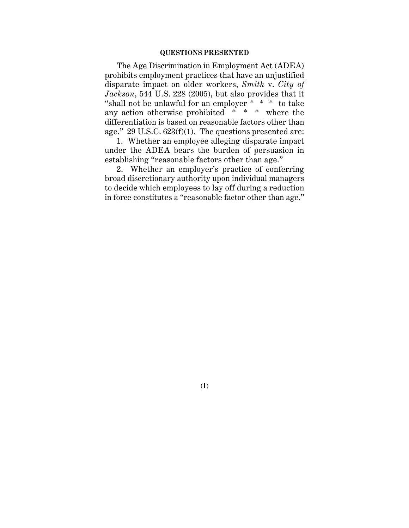#### **QUESTIONS PRESENTED**

The Age Discrimination in Employment Act (ADEA) prohibits employment practices that have an unjustified disparate impact on older workers, *Smith* v. *City of Jackson*, 544 U.S. 228 (2005), but also provides that it "shall not be unlawful for an employer \* \* \* to take any action otherwise prohibited  $* * *$  where the differentiation is based on reasonable factors other than age."  $29$  U.S.C.  $623(f)(1)$ . The questions presented are:

1. Whether an employee alleging disparate impact under the ADEA bears the burden of persuasion in establishing "reasonable factors other than age."

2. Whether an employer's practice of conferring broad discretionary authority upon individual managers to decide which employees to lay off during a reduction in force constitutes a "reasonable factor other than age."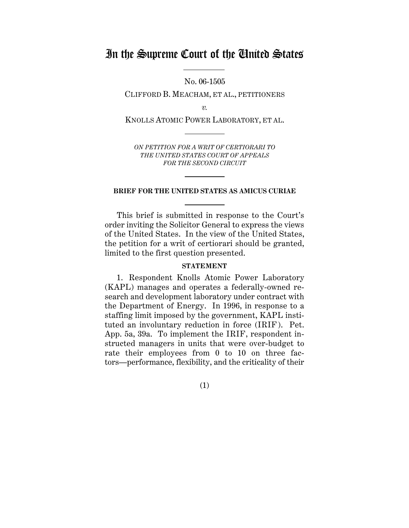# In the Supreme Court of the United States

No. 06-1505

CLIFFORD B. MEACHAM, ET AL., PETITIONERS

*v.*

KNOLLS ATOMIC POWER LABORATORY, ET AL.

*ON PETITION FOR A WRIT OF CERTIORARI TO THE UNITED STATES COURT OF APPEALS FOR THE SECOND CIRCUIT*

#### **BRIEF FOR THE UNITED STATES AS AMICUS CURIAE**

This brief is submitted in response to the Court's order inviting the Solicitor General to express the views of the United States. In the view of the United States, the petition for a writ of certiorari should be granted, limited to the first question presented.

#### **STATEMENT**

1. Respondent Knolls Atomic Power Laboratory (KAPL) manages and operates a federally-owned research and development laboratory under contract with the Department of Energy. In 1996, in response to a staffing limit imposed by the government, KAPL instituted an involuntary reduction in force (IRIF). Pet. App. 5a, 39a. To implement the IRIF, respondent instructed managers in units that were over-budget to rate their employees from 0 to 10 on three factors—performance, flexibility, and the criticality of their

(1)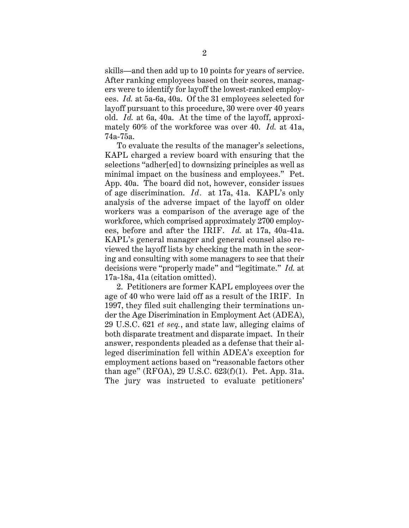skills—and then add up to 10 points for years of service. After ranking employees based on their scores, managers were to identify for layoff the lowest-ranked employees. *Id.* at 5a-6a, 40a. Of the 31 employees selected for layoff pursuant to this procedure, 30 were over 40 years old. *Id.* at 6a, 40a. At the time of the layoff, approximately 60% of the workforce was over 40. *Id.* at 41a, 74a-75a.

To evaluate the results of the manager's selections, KAPL charged a review board with ensuring that the selections "adher[ed] to downsizing principles as well as minimal impact on the business and employees." Pet. App. 40a. The board did not, however, consider issues of age discrimination. *Id.* at 17a, 41a. KAPL's only analysis of the adverse impact of the layoff on older workers was a comparison of the average age of the workforce, which comprised approximately 2700 employees, before and after the IRIF. *Id.* at 17a, 40a-41a. KAPL's general manager and general counsel also reviewed the layoff lists by checking the math in the scoring and consulting with some managers to see that their decisions were "properly made" and "legitimate." *Id.* at 17a-18a, 41a (citation omitted).

2. Petitioners are former KAPL employees over the age of 40 who were laid off as a result of the IRIF. In 1997, they filed suit challenging their terminations under the Age Discrimination in Employment Act (ADEA), 29 U.S.C. 621 *et seq.*, and state law, alleging claims of both disparate treatment and disparate impact. In their answer, respondents pleaded as a defense that their alleged discrimination fell within ADEA's exception for employment actions based on "reasonable factors other than age" (RFOA), 29 U.S.C. 623(f)(1). Pet. App. 31a. The jury was instructed to evaluate petitioners'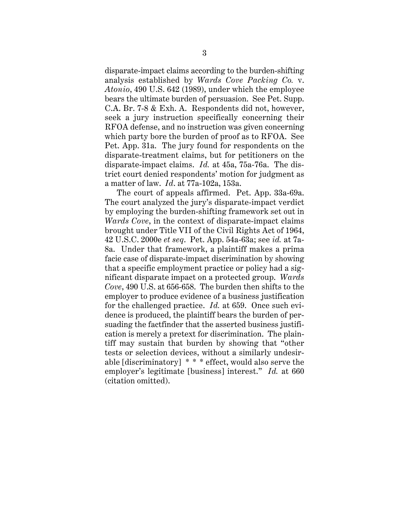disparate-impact claims according to the burden-shifting analysis established by *Wards Cove Packing Co.* v. *Atonio*, 490 U.S. 642 (1989), under which the employee bears the ultimate burden of persuasion. See Pet. Supp. C.A. Br. 7-8 & Exh. A. Respondents did not, however, seek a jury instruction specifically concerning their RFOA defense, and no instruction was given concerning which party bore the burden of proof as to RFOA. See Pet. App. 31a. The jury found for respondents on the disparate-treatment claims, but for petitioners on the disparate-impact claims. *Id.* at 45a, 75a-76a. The district court denied respondents' motion for judgment as a matter of law. *Id*. at 77a-102a, 153a.

The court of appeals affirmed. Pet. App. 33a-69a. The court analyzed the jury's disparate-impact verdict by employing the burden-shifting framework set out in *Wards Cove*, in the context of disparate-impact claims brought under Title VII of the Civil Rights Act of 1964, 42 U.S.C. 2000e *et seq*. Pet. App. 54a-63a; see *id.* at 7a-8a. Under that framework, a plaintiff makes a prima facie case of disparate-impact discrimination by showing that a specific employment practice or policy had a significant disparate impact on a protected group. *Wards Cove*, 490 U.S. at 656-658. The burden then shifts to the employer to produce evidence of a business justification for the challenged practice. *Id.* at 659. Once such evidence is produced, the plaintiff bears the burden of persuading the factfinder that the asserted business justification is merely a pretext for discrimination. The plaintiff may sustain that burden by showing that "other tests or selection devices, without a similarly undesirable [discriminatory] \* \* \* effect, would also serve the employer's legitimate [business] interest." *Id.* at 660 (citation omitted).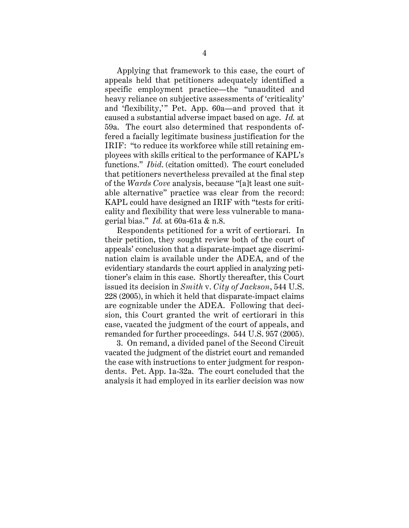Applying that framework to this case, the court of appeals held that petitioners adequately identified a specific employment practice—the "unaudited and heavy reliance on subjective assessments of 'criticality' and 'flexibility,'" Pet. App. 60a—and proved that it caused a substantial adverse impact based on age. *Id.* at 59a. The court also determined that respondents offered a facially legitimate business justification for the IRIF: "to reduce its workforce while still retaining employees with skills critical to the performance of KAPL's functions." *Ibid*. (citation omitted). The court concluded that petitioners nevertheless prevailed at the final step of the *Wards Cove* analysis, because "[a]t least one suitable alternative" practice was clear from the record: KAPL could have designed an IRIF with "tests for criticality and flexibility that were less vulnerable to managerial bias." *Id.* at 60a-61a & n.8.

Respondents petitioned for a writ of certiorari. In their petition, they sought review both of the court of appeals' conclusion that a disparate-impact age discrimination claim is available under the ADEA, and of the evidentiary standards the court applied in analyzing petitioner's claim in this case. Shortly thereafter, this Court issued its decision in *Smith* v. *City of Jackson*, 544 U.S. 228 (2005), in which it held that disparate-impact claims are cognizable under the ADEA. Following that decision, this Court granted the writ of certiorari in this case, vacated the judgment of the court of appeals, and remanded for further proceedings. 544 U.S. 957 (2005).

3. On remand, a divided panel of the Second Circuit vacated the judgment of the district court and remanded the case with instructions to enter judgment for respondents. Pet. App. 1a-32a. The court concluded that the analysis it had employed in its earlier decision was now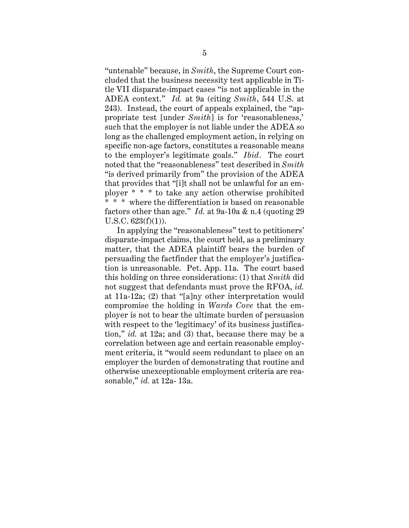"untenable" because, in *Smith*, the Supreme Court concluded that the business necessity test applicable in Title VII disparate-impact cases "is not applicable in the ADEA context." *Id.* at 9a (citing *Smith*, 544 U.S. at 243). Instead, the court of appeals explained, the "appropriate test [under *Smith*] is for 'reasonableness,' such that the employer is not liable under the ADEA so long as the challenged employment action, in relying on specific non-age factors, constitutes a reasonable means to the employer's legitimate goals." *Ibid.* The court noted that the "reasonableness" test described in *Smith* "is derived primarily from" the provision of the ADEA that provides that "[i]t shall not be unlawful for an employer \* \* \* to take any action otherwise prohibited \* \* \* where the differentiation is based on reasonable factors other than age." *Id.* at 9a-10a & n.4 (quoting 29  $U.S.C. 623(f)(1)$ ).

In applying the "reasonableness" test to petitioners' disparate-impact claims, the court held, as a preliminary matter, that the ADEA plaintiff bears the burden of persuading the factfinder that the employer's justification is unreasonable. Pet. App. 11a. The court based this holding on three considerations: (1) that *Smith* did not suggest that defendants must prove the RFOA, *id.* at 11a-12a; (2) that "[a]ny other interpretation would compromise the holding in *Wards Cove* that the employer is not to bear the ultimate burden of persuasion with respect to the 'legitimacy' of its business justification," *id.* at 12a; and (3) that, because there may be a correlation between age and certain reasonable employment criteria, it "would seem redundant to place on an employer the burden of demonstrating that routine and otherwise unexceptionable employment criteria are reasonable," *id.* at 12a- 13a.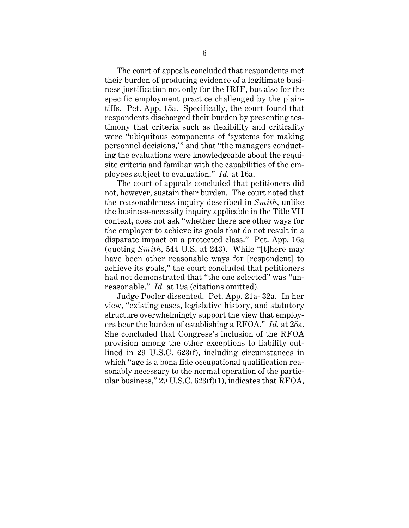The court of appeals concluded that respondents met their burden of producing evidence of a legitimate business justification not only for the IRIF, but also for the specific employment practice challenged by the plaintiffs. Pet. App. 15a. Specifically, the court found that respondents discharged their burden by presenting testimony that criteria such as flexibility and criticality were "ubiquitous components of 'systems for making personnel decisions,'" and that "the managers conducting the evaluations were knowledgeable about the requisite criteria and familiar with the capabilities of the employees subject to evaluation." *Id.* at 16a.

The court of appeals concluded that petitioners did not, however, sustain their burden. The court noted that the reasonableness inquiry described in *Smith*, unlike the business-necessity inquiry applicable in the Title VII context, does not ask "whether there are other ways for the employer to achieve its goals that do not result in a disparate impact on a protected class." Pet. App. 16a (quoting *Smith*, 544 U.S. at 243). While "[t]here may have been other reasonable ways for [respondent] to achieve its goals," the court concluded that petitioners had not demonstrated that "the one selected" was "unreasonable." *Id.* at 19a (citations omitted).

Judge Pooler dissented. Pet. App. 21a- 32a. In her view, "existing cases, legislative history, and statutory structure overwhelmingly support the view that employers bear the burden of establishing a RFOA." *Id.* at 25a. She concluded that Congress's inclusion of the RFOA provision among the other exceptions to liability outlined in 29 U.S.C. 623(f), including circumstances in which "age is a bona fide occupational qualification reasonably necessary to the normal operation of the particular business," 29 U.S.C. 623(f)(1), indicates that RFOA,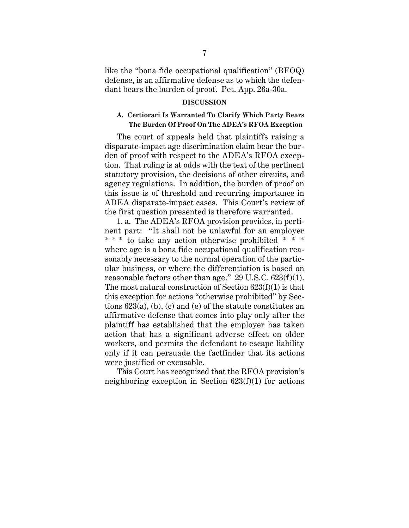like the "bona fide occupational qualification" (BFOQ) defense, is an affirmative defense as to which the defendant bears the burden of proof. Pet. App. 26a-30a.

#### **DISCUSSION**

### **A. Certiorari Is Warranted To Clarify Which Party Bears The Burden Of Proof On The ADEA's RFOA Exception**

The court of appeals held that plaintiffs raising a disparate-impact age discrimination claim bear the burden of proof with respect to the ADEA's RFOA exception. That ruling is at odds with the text of the pertinent statutory provision, the decisions of other circuits, and agency regulations. In addition, the burden of proof on this issue is of threshold and recurring importance in ADEA disparate-impact cases. This Court's review of the first question presented is therefore warranted.

1. a. The ADEA's RFOA provision provides, in pertinent part: "It shall not be unlawful for an employer \* \* \* to take any action otherwise prohibited \* \* \* where age is a bona fide occupational qualification reasonably necessary to the normal operation of the particular business, or where the differentiation is based on reasonable factors other than age." 29 U.S.C.  $623(f)(1)$ . The most natural construction of Section 623(f)(1) is that this exception for actions "otherwise prohibited" by Sections 623(a), (b), (c) and (e) of the statute constitutes an affirmative defense that comes into play only after the plaintiff has established that the employer has taken action that has a significant adverse effect on older workers, and permits the defendant to escape liability only if it can persuade the factfinder that its actions were justified or excusable.

This Court has recognized that the RFOA provision's neighboring exception in Section  $623(f)(1)$  for actions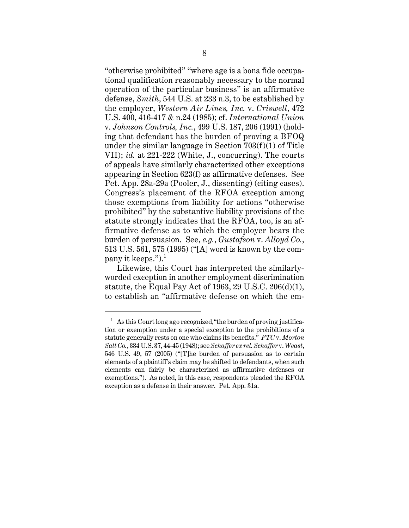"otherwise prohibited" "where age is a bona fide occupational qualification reasonably necessary to the normal operation of the particular business" is an affirmative defense, *Smith*, 544 U.S. at 233 n.3, to be established by the employer, *Western Air Lines, Inc.* v. *Criswell*, 472 U.S. 400, 416-417 & n.24 (1985); cf. *International Union* v. *Johnson Controls, Inc.*, 499 U.S. 187, 206 (1991) (holding that defendant has the burden of proving a BFOQ under the similar language in Section 703(f)(1) of Title VII); *id.* at 221-222 (White, J., concurring). The courts of appeals have similarly characterized other exceptions appearing in Section 623(f) as affirmative defenses. See Pet. App. 28a-29a (Pooler, J., dissenting) (citing cases). Congress's placement of the RFOA exception among those exemptions from liability for actions "otherwise prohibited" by the substantive liability provisions of the statute strongly indicates that the RFOA, too, is an affirmative defense as to which the employer bears the burden of persuasion. See, *e.g.*, *Gustafson* v. *Alloyd Co.*, 513 U.S. 561, 575 (1995) ("[A] word is known by the company it keeps.").<sup>1</sup>

Likewise, this Court has interpreted the similarlyworded exception in another employment discrimination statute, the Equal Pay Act of 1963, 29 U.S.C. 206(d)(1), to establish an "affirmative defense on which the em-

 $1$  As this Court long ago recognized, "the burden of proving justification or exemption under a special exception to the prohibitions of a statute generally rests on one who claims its benefits." *FTC* v. *Morton Salt Co.*, 334 U.S. 37, 44-45 (1948); see *Schaffer ex rel. Schaffer* v. *Weast*, 546 U.S. 49, 57 (2005) ("[T]he burden of persuasion as to certain elements of a plaintiff's claim may be shifted to defendants, when such elements can fairly be characterized as affirmative defenses or exemptions."). As noted, in this case, respondents pleaded the RFOA exception as a defense in their answer. Pet. App. 31a.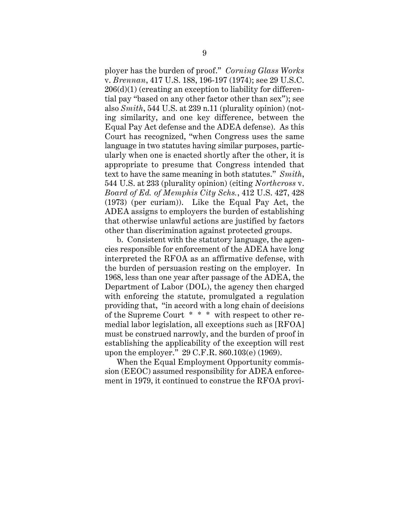ployer has the burden of proof." *Corning Glass Works* v. *Brennan*, 417 U.S. 188, 196-197 (1974); see 29 U.S.C. 206(d)(1) (creating an exception to liability for differential pay "based on any other factor other than sex"); see also *Smith*, 544 U.S. at 239 n.11 (plurality opinion) (noting similarity, and one key difference, between the Equal Pay Act defense and the ADEA defense). As this Court has recognized, "when Congress uses the same language in two statutes having similar purposes, particularly when one is enacted shortly after the other, it is appropriate to presume that Congress intended that text to have the same meaning in both statutes." *Smith*, 544 U.S. at 233 (plurality opinion) (citing *Northcross* v. *Board of Ed. of Memphis City Schs.*, 412 U.S. 427, 428 (1973) (per curiam)). Like the Equal Pay Act, the ADEA assigns to employers the burden of establishing that otherwise unlawful actions are justified by factors other than discrimination against protected groups.

b. Consistent with the statutory language, the agencies responsible for enforcement of the ADEA have long interpreted the RFOA as an affirmative defense, with the burden of persuasion resting on the employer. In 1968, less than one year after passage of the ADEA, the Department of Labor (DOL), the agency then charged with enforcing the statute, promulgated a regulation providing that, "in accord with a long chain of decisions of the Supreme Court \* \* \* with respect to other remedial labor legislation, all exceptions such as [RFOA] must be construed narrowly, and the burden of proof in establishing the applicability of the exception will rest upon the employer." 29 C.F.R. 860.103(e) (1969).

When the Equal Employment Opportunity commission (EEOC) assumed responsibility for ADEA enforcement in 1979, it continued to construe the RFOA provi-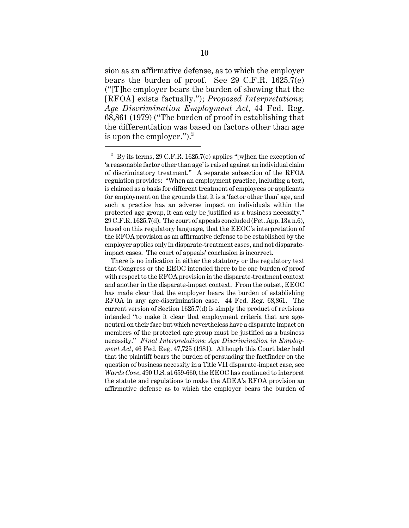sion as an affirmative defense, as to which the employer bears the burden of proof. See 29 C.F.R. 1625.7(e) ("[T]he employer bears the burden of showing that the [RFOA] exists factually."); *Proposed Interpretations; Age Discrimination Employment Act*, 44 Fed. Reg. 68,861 (1979) ("The burden of proof in establishing that the differentiation was based on factors other than age is upon the employer."). $^{2}$ 

<sup>&</sup>lt;sup>2</sup> By its terms, 29 C.F.R. 1625.7(e) applies "[w]hen the exception of 'a reasonable factor other than age' is raised against an individual claim of discriminatory treatment." A separate subsection of the RFOA regulation provides: "When an employment practice, including a test, is claimed as a basis for different treatment of employees or applicants for employment on the grounds that it is a 'factor other than' age, and such a practice has an adverse impact on individuals within the protected age group, it can only be justified as a business necessity." 29 C.F.R. 1625.7(d). The court of appeals concluded (Pet. App. 13a n.6), based on this regulatory language, that the EEOC's interpretation of the RFOA provision as an affirmative defense to be established by the employer applies only in disparate-treatment cases, and not disparateimpact cases. The court of appeals' conclusion is incorrect.

There is no indication in either the statutory or the regulatory text that Congress or the EEOC intended there to be one burden of proof with respect to the RFOA provision in the disparate-treatment context and another in the disparate-impact context. From the outset, EEOC has made clear that the employer bears the burden of establishing RFOA in any age-discrimination case. 44 Fed. Reg. 68,861. The current version of Section 1625.7(d) is simply the product of revisions intended "to make it clear that employment criteria that are ageneutral on their face but which nevertheless have a disparate impact on members of the protected age group must be justified as a business necessity." *Final Interpretations: Age Discrimination in Employment Act*, 46 Fed. Reg. 47,725 (1981). Although this Court later held that the plaintiff bears the burden of persuading the factfinder on the question of business necessity in a Title VII disparate-impact case, see *Wards Cove*, 490 U.S. at 659-660, the EEOC has continued to interpret the statute and regulations to make the ADEA's RFOA provision an affirmative defense as to which the employer bears the burden of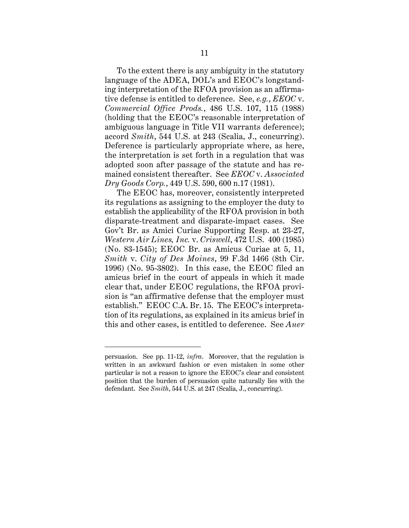To the extent there is any ambiguity in the statutory language of the ADEA, DOL's and EEOC's longstanding interpretation of the RFOA provision as an affirmative defense is entitled to deference. See, *e.g.*, *EEOC* v. *Commercial Office Prods.*, 486 U.S. 107, 115 (1988) (holding that the EEOC's reasonable interpretation of ambiguous language in Title VII warrants deference); accord *Smith*, 544 U.S. at 243 (Scalia, J., concurring). Deference is particularly appropriate where, as here, the interpretation is set forth in a regulation that was adopted soon after passage of the statute and has remained consistent thereafter. See *EEOC* v. *Associated Dry Goods Corp.*, 449 U.S. 590, 600 n.17 (1981).

The EEOC has, moreover, consistently interpreted its regulations as assigning to the employer the duty to establish the applicability of the RFOA provision in both disparate-treatment and disparate-impact cases. See Gov't Br. as Amici Curiae Supporting Resp. at 23-27, *Western Air Lines, Inc.* v. *Criswell*, 472 U.S. 400 (1985) (No. 83-1545); EEOC Br. as Amicus Curiae at 5, 11, *Smith* v. *City of Des Moines*, 99 F.3d 1466 (8th Cir. 1996) (No. 95-3802). In this case, the EEOC filed an amicus brief in the court of appeals in which it made clear that, under EEOC regulations, the RFOA provision is "an affirmative defense that the employer must establish." EEOC C.A. Br. 15. The EEOC's interpretation of its regulations, as explained in its amicus brief in this and other cases, is entitled to deference. See *Auer*

persuasion. See pp. 11-12, *infra*. Moreover, that the regulation is written in an awkward fashion or even mistaken in some other particular is not a reason to ignore the EEOC's clear and consistent position that the burden of persuasion quite naturally lies with the defendant. See *Smith*, 544 U.S. at 247 (Scalia, J., concurring).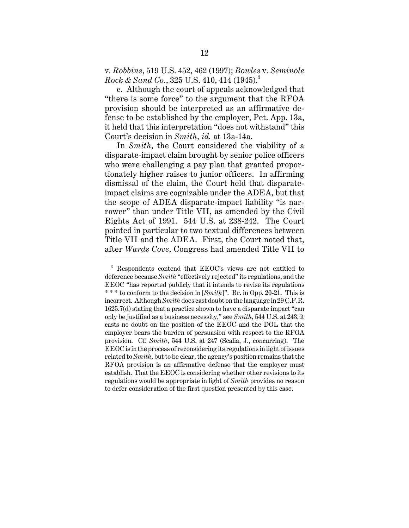v. *Robbins*, 519 U.S. 452, 462 (1997); *Bowles* v. *Seminole Rock & Sand Co.*, 325 U.S. 410, 414 (1945).<sup>3</sup>

c. Although the court of appeals acknowledged that "there is some force" to the argument that the RFOA provision should be interpreted as an affirmative defense to be established by the employer, Pet. App. 13a, it held that this interpretation "does not withstand" this Court's decision in *Smith*, *id.* at 13a-14a.

In *Smith*, the Court considered the viability of a disparate-impact claim brought by senior police officers who were challenging a pay plan that granted proportionately higher raises to junior officers. In affirming dismissal of the claim, the Court held that disparateimpact claims are cognizable under the ADEA, but that the scope of ADEA disparate-impact liability "is narrower" than under Title VII, as amended by the Civil Rights Act of 1991. 544 U.S. at 238-242. The Court pointed in particular to two textual differences between Title VII and the ADEA. First, the Court noted that, after *Wards Cove*, Congress had amended Title VII to

<sup>3</sup> Respondents contend that EEOC's views are not entitled to deference because *Smith* "effectively rejected" its regulations, and the EEOC "has reported publicly that it intends to revise its regulations \* \* \* to conform to the decision in [*Smith*]". Br. in Opp. 20-21. This is incorrect. Although *Smith* does cast doubt on the language in 29 C.F.R. 1625.7(d) stating that a practice shown to have a disparate impact "can only be justified as a business necessity," see *Smith*, 544 U.S. at 243, it casts no doubt on the position of the EEOC and the DOL that the employer bears the burden of persuasion with respect to the RFOA provision. Cf. *Smith*, 544 U.S. at 247 (Scalia, J., concurring). The EEOC is in the process of reconsidering its regulations in light of issues related to *Smith*, but to be clear, the agency's position remains that the RFOA provision is an affirmative defense that the employer must establish. That the EEOC is considering whether other revisions to its regulations would be appropriate in light of *Smith* provides no reason to defer consideration of the first question presented by this case.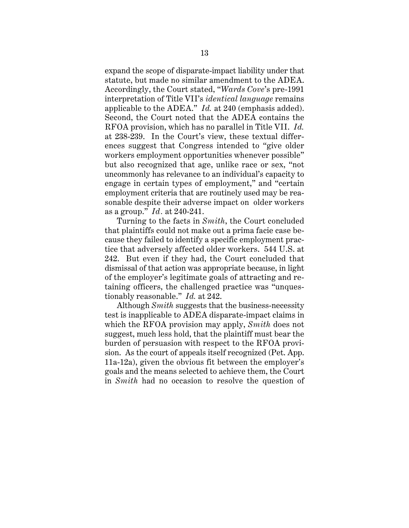expand the scope of disparate-impact liability under that statute, but made no similar amendment to the ADEA. Accordingly, the Court stated, "*Wards Cove*'s pre-1991 interpretation of Title VII's *identical language* remains applicable to the ADEA." *Id.* at 240 (emphasis added). Second, the Court noted that the ADEA contains the RFOA provision, which has no parallel in Title VII. *Id.* at 238-239. In the Court's view, these textual differences suggest that Congress intended to "give older workers employment opportunities whenever possible" but also recognized that age, unlike race or sex, "not uncommonly has relevance to an individual's capacity to engage in certain types of employment," and "certain employment criteria that are routinely used may be reasonable despite their adverse impact on older workers as a group." *Id.* at 240-241.

Turning to the facts in *Smith*, the Court concluded that plaintiffs could not make out a prima facie case because they failed to identify a specific employment practice that adversely affected older workers. 544 U.S. at 242. But even if they had, the Court concluded that dismissal of that action was appropriate because, in light of the employer's legitimate goals of attracting and retaining officers, the challenged practice was "unquestionably reasonable." *Id.* at 242.

Although *Smith* suggests that the business-necessity test is inapplicable to ADEA disparate-impact claims in which the RFOA provision may apply, *Smith* does not suggest, much less hold, that the plaintiff must bear the burden of persuasion with respect to the RFOA provision. As the court of appeals itself recognized (Pet. App. 11a-12a), given the obvious fit between the employer's goals and the means selected to achieve them, the Court in *Smith* had no occasion to resolve the question of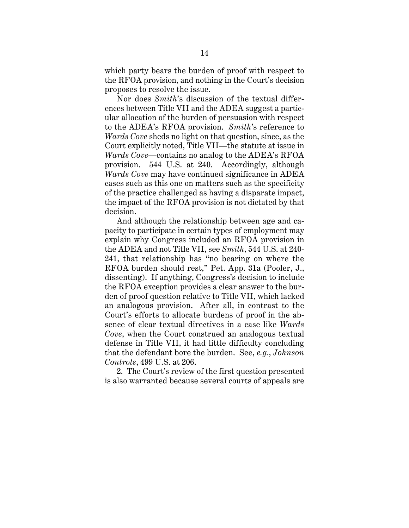which party bears the burden of proof with respect to the RFOA provision, and nothing in the Court's decision proposes to resolve the issue.

Nor does *Smith*'s discussion of the textual differences between Title VII and the ADEA suggest a particular allocation of the burden of persuasion with respect to the ADEA's RFOA provision. *Smith*'s reference to *Wards Cove* sheds no light on that question, since, as the Court explicitly noted, Title VII—the statute at issue in *Wards Cove*—contains no analog to the ADEA's RFOA provision. 544 U.S. at 240. Accordingly, although *Wards Cove* may have continued significance in ADEA cases such as this one on matters such as the specificity of the practice challenged as having a disparate impact, the impact of the RFOA provision is not dictated by that decision.

And although the relationship between age and capacity to participate in certain types of employment may explain why Congress included an RFOA provision in the ADEA and not Title VII, see *Smith*, 544 U.S. at 240- 241, that relationship has "no bearing on where the RFOA burden should rest," Pet. App. 31a (Pooler, J., dissenting). If anything, Congress's decision to include the RFOA exception provides a clear answer to the burden of proof question relative to Title VII, which lacked an analogous provision. After all, in contrast to the Court's efforts to allocate burdens of proof in the absence of clear textual directives in a case like *Wards Cove*, when the Court construed an analogous textual defense in Title VII, it had little difficulty concluding that the defendant bore the burden. See, *e.g.*, *Johnson Controls*, 499 U.S. at 206.

2. The Court's review of the first question presented is also warranted because several courts of appeals are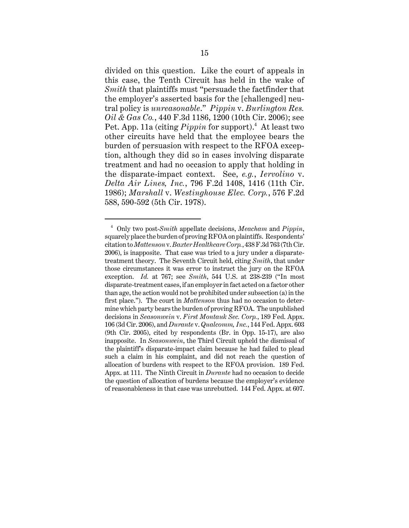divided on this question. Like the court of appeals in this case, the Tenth Circuit has held in the wake of *Smith* that plaintiffs must "persuade the factfinder that the employer's asserted basis for the [challenged] neutral policy is *unreasonable*." *Pippin* v. *Burlington Res. Oil & Gas Co.*, 440 F.3d 1186, 1200 (10th Cir. 2006); see Pet. App. 11a (citing *Pippin* for support).<sup>4</sup> At least two other circuits have held that the employee bears the burden of persuasion with respect to the RFOA exception, although they did so in cases involving disparate treatment and had no occasion to apply that holding in the disparate-impact context. See, *e.g.*, *Iervolino* v. *Delta Air Lines, Inc.*, 796 F.2d 1408, 1416 (11th Cir. 1986); *Marshall* v. *Westinghouse Elec. Corp.*, 576 F.2d 588, 590-592 (5th Cir. 1978).

<sup>4</sup> Only two post-*Smith* appellate decisions, *Meacham* and *Pippin*, squarely place the burden of proving RFOA on plaintiffs. Respondents' citation to *Mattenson* v. *Baxter Healthcare Corp.*, 438 F.3d 763 (7th Cir. 2006), is inapposite. That case was tried to a jury under a disparatetreatment theory. The Seventh Circuit held, citing *Smith*, that under those circumstances it was error to instruct the jury on the RFOA exception. *Id.* at 767; see *Smith*, 544 U.S. at 238-239 ("In most disparate-treatment cases, if an employer in fact acted on a factor other than age, the action would not be prohibited under subsection (a) in the first place."). The court in *Mattenson* thus had no occasion to determine which party bears the burden of proving RFOA. The unpublished decisions in *Seasonwein* v. *First Montauk Sec. Corp.*, 189 Fed. Appx. 106 (3d Cir. 2006), and *Durante* v. *Qualcomm, Inc.*, 144 Fed. Appx. 603 (9th Cir. 2005), cited by respondents (Br. in Opp. 15-17), are also inapposite. In *Seasonwein*, the Third Circuit upheld the dismissal of the plaintiff's disparate-impact claim because he had failed to plead such a claim in his complaint, and did not reach the question of allocation of burdens with respect to the RFOA provision. 189 Fed. Appx. at 111. The Ninth Circuit in *Durante* had no occasion to decide the question of allocation of burdens because the employer's evidence of reasonableness in that case was unrebutted. 144 Fed. Appx. at 607.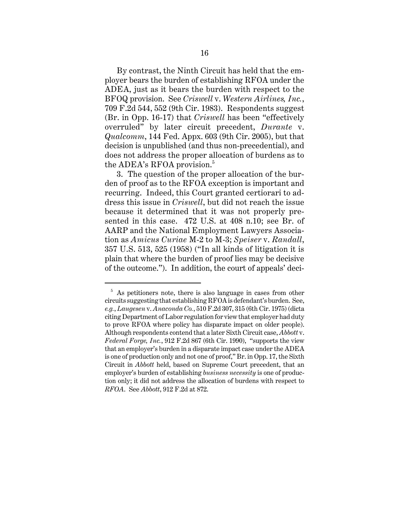By contrast, the Ninth Circuit has held that the employer bears the burden of establishing RFOA under the ADEA, just as it bears the burden with respect to the BFOQ provision. See *Criswell* v. *Western Airlines, Inc.*, 709 F.2d 544, 552 (9th Cir. 1983). Respondents suggest (Br. in Opp. 16-17) that *Criswell* has been "effectively overruled" by later circuit precedent, *Durante* v. *Qualcomm*, 144 Fed. Appx. 603 (9th Cir. 2005), but that decision is unpublished (and thus non-precedential), and does not address the proper allocation of burdens as to the ADEA's RFOA provision.<sup>5</sup>

3. The question of the proper allocation of the burden of proof as to the RFOA exception is important and recurring. Indeed, this Court granted certiorari to address this issue in *Criswell*, but did not reach the issue because it determined that it was not properly presented in this case. 472 U.S. at 408 n.10; see Br. of AARP and the National Employment Lawyers Association as *Amicus Curiae* M-2 to M-3; *Speiser* v. *Randall*, 357 U.S. 513, 525 (1958) ("In all kinds of litigation it is plain that where the burden of proof lies may be decisive of the outcome."). In addition, the court of appeals' deci-

 $5$  As petitioners note, there is also language in cases from other circuits suggesting that establishing RFOA is defendant's burden. See, *e.g.*, *Laugesen* v. *Anaconda Co.*, 510 F.2d 307, 315 (6th Cir. 1975) (dicta citing Department of Labor regulation for view that employer had duty to prove RFOA where policy has disparate impact on older people). Although respondents contend that a later Sixth Circuit case, *Abbott* v. *Federal Forge, Inc.*, 912 F.2d 867 (6th Cir. 1990), "supports the view that an employer's burden in a disparate impact case under the ADEA is one of production only and not one of proof," Br. in Opp. 17, the Sixth Circuit in *Abbott* held, based on Supreme Court precedent, that an employer's burden of establishing *business necessity* is one of production only; it did not address the allocation of burdens with respect to *RFOA*. See *Abbott*, 912 F.2d at 872.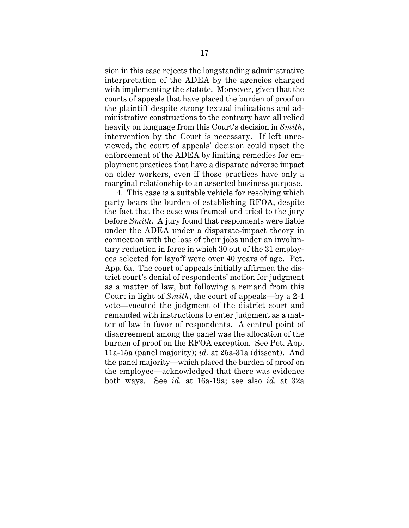sion in this case rejects the longstanding administrative interpretation of the ADEA by the agencies charged with implementing the statute. Moreover, given that the courts of appeals that have placed the burden of proof on the plaintiff despite strong textual indications and administrative constructions to the contrary have all relied heavily on language from this Court's decision in *Smith*, intervention by the Court is necessary. If left unreviewed, the court of appeals' decision could upset the enforcement of the ADEA by limiting remedies for employment practices that have a disparate adverse impact on older workers, even if those practices have only a marginal relationship to an asserted business purpose.

4. This case is a suitable vehicle for resolving which party bears the burden of establishing RFOA, despite the fact that the case was framed and tried to the jury before *Smith*. A jury found that respondents were liable under the ADEA under a disparate-impact theory in connection with the loss of their jobs under an involuntary reduction in force in which 30 out of the 31 employees selected for layoff were over 40 years of age. Pet. App. 6a. The court of appeals initially affirmed the district court's denial of respondents' motion for judgment as a matter of law, but following a remand from this Court in light of *Smith*, the court of appeals—by a 2-1 vote—vacated the judgment of the district court and remanded with instructions to enter judgment as a matter of law in favor of respondents. A central point of disagreement among the panel was the allocation of the burden of proof on the RFOA exception. See Pet. App. 11a-15a (panel majority); *id.* at 25a-31a (dissent). And the panel majority—which placed the burden of proof on the employee—acknowledged that there was evidence both ways. See *id.* at 16a-19a; see also *id.* at 32a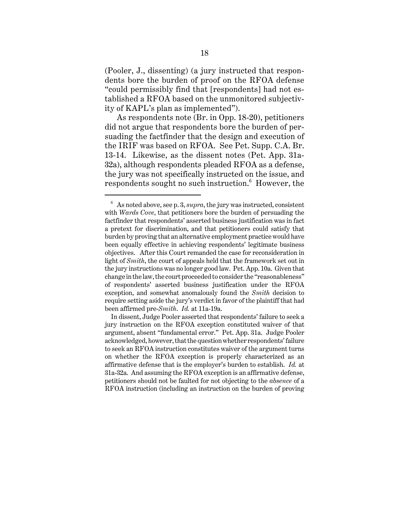(Pooler, J., dissenting) (a jury instructed that respondents bore the burden of proof on the RFOA defense "could permissibly find that [respondents] had not established a RFOA based on the unmonitored subjectivity of KAPL's plan as implemented").

As respondents note (Br. in Opp. 18-20), petitioners did not argue that respondents bore the burden of persuading the factfinder that the design and execution of the IRIF was based on RFOA. See Pet. Supp. C.A. Br. 13-14. Likewise, as the dissent notes (Pet. App. 31a-32a), although respondents pleaded RFOA as a defense, the jury was not specifically instructed on the issue, and respondents sought no such instruction. $^6\,$  However, the

 $6\text{ A}s$  noted above, see p. 3, *supra*, the jury was instructed, consistent with *Wards Cove*, that petitioners bore the burden of persuading the factfinder that respondents' asserted business justification was in fact a pretext for discrimination, and that petitioners could satisfy that burden by proving that an alternative employment practice would have been equally effective in achieving respondents' legitimate business objectives. After this Court remanded the case for reconsideration in light of *Smith*, the court of appeals held that the framework set out in the jury instructions was no longer good law. Pet. App. 10a. Given that change in the law, the court proceeded to consider the "reasonableness" of respondents' asserted business justification under the RFOA exception, and somewhat anomalously found the *Smith* decision to require setting aside the jury's verdict in favor of the plaintiff that had been affirmed pre-*Smith*. *Id.* at 11a-19a.

In dissent, Judge Pooler asserted that respondents' failure to seek a jury instruction on the RFOA exception constituted waiver of that argument, absent "fundamental error." Pet. App. 31a. Judge Pooler acknowledged, however, that the question whether respondents' failure to seek an RFOA instruction constitutes waiver of the argument turns on whether the RFOA exception is properly characterized as an affirmative defense that is the employer's burden to establish. *Id.* at 31a-32a. And assuming the RFOA exception is an affirmative defense, petitioners should not be faulted for not objecting to the *absence* of a RFOA instruction (including an instruction on the burden of proving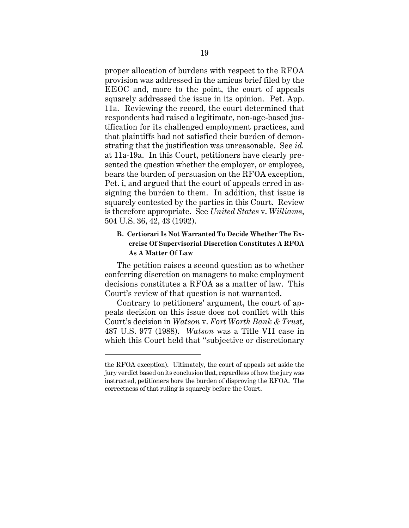proper allocation of burdens with respect to the RFOA provision was addressed in the amicus brief filed by the EEOC and, more to the point, the court of appeals squarely addressed the issue in its opinion. Pet. App. 11a. Reviewing the record, the court determined that respondents had raised a legitimate, non-age-based justification for its challenged employment practices, and that plaintiffs had not satisfied their burden of demonstrating that the justification was unreasonable. See *id.* at 11a-19a. In this Court, petitioners have clearly presented the question whether the employer, or employee, bears the burden of persuasion on the RFOA exception, Pet. i, and argued that the court of appeals erred in assigning the burden to them. In addition, that issue is squarely contested by the parties in this Court. Review is therefore appropriate. See *United States* v. *Williams*, 504 U.S. 36, 42, 43 (1992).

## **B. Certiorari Is Not Warranted To Decide Whether The Exercise Of Supervisorial Discretion Constitutes A RFOA As A Matter Of Law**

The petition raises a second question as to whether conferring discretion on managers to make employment decisions constitutes a RFOA as a matter of law. This Court's review of that question is not warranted.

Contrary to petitioners' argument, the court of appeals decision on this issue does not conflict with this Court's decision in *Watson* v. *Fort Worth Bank & Trust*, 487 U.S. 977 (1988). *Watson* was a Title VII case in which this Court held that "subjective or discretionary

the RFOA exception). Ultimately, the court of appeals set aside the jury verdict based on its conclusion that, regardless of how the jury was instructed, petitioners bore the burden of disproving the RFOA. The correctness of that ruling is squarely before the Court.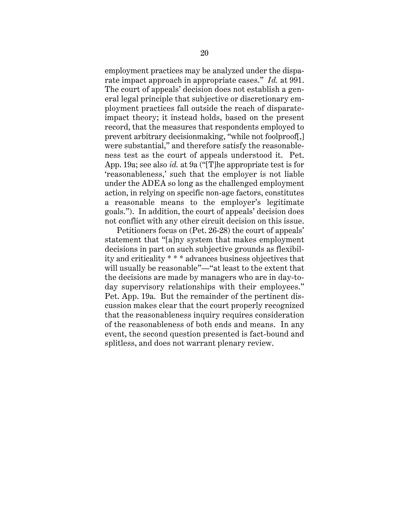employment practices may be analyzed under the disparate impact approach in appropriate cases." *Id.* at 991. The court of appeals' decision does not establish a general legal principle that subjective or discretionary employment practices fall outside the reach of disparateimpact theory; it instead holds, based on the present record, that the measures that respondents employed to prevent arbitrary decisionmaking, "while not foolproof[,] were substantial," and therefore satisfy the reasonableness test as the court of appeals understood it. Pet. App. 19a; see also *id.* at 9a ("[T]he appropriate test is for 'reasonableness,' such that the employer is not liable under the ADEA so long as the challenged employment action, in relying on specific non-age factors, constitutes a reasonable means to the employer's legitimate goals."). In addition, the court of appeals' decision does not conflict with any other circuit decision on this issue.

Petitioners focus on (Pet. 26-28) the court of appeals' statement that "[a]ny system that makes employment decisions in part on such subjective grounds as flexibility and criticality \* \* \* advances business objectives that will usually be reasonable"—"at least to the extent that the decisions are made by managers who are in day-today supervisory relationships with their employees." Pet. App. 19a. But the remainder of the pertinent discussion makes clear that the court properly recognized that the reasonableness inquiry requires consideration of the reasonableness of both ends and means. In any event, the second question presented is fact-bound and splitless, and does not warrant plenary review.